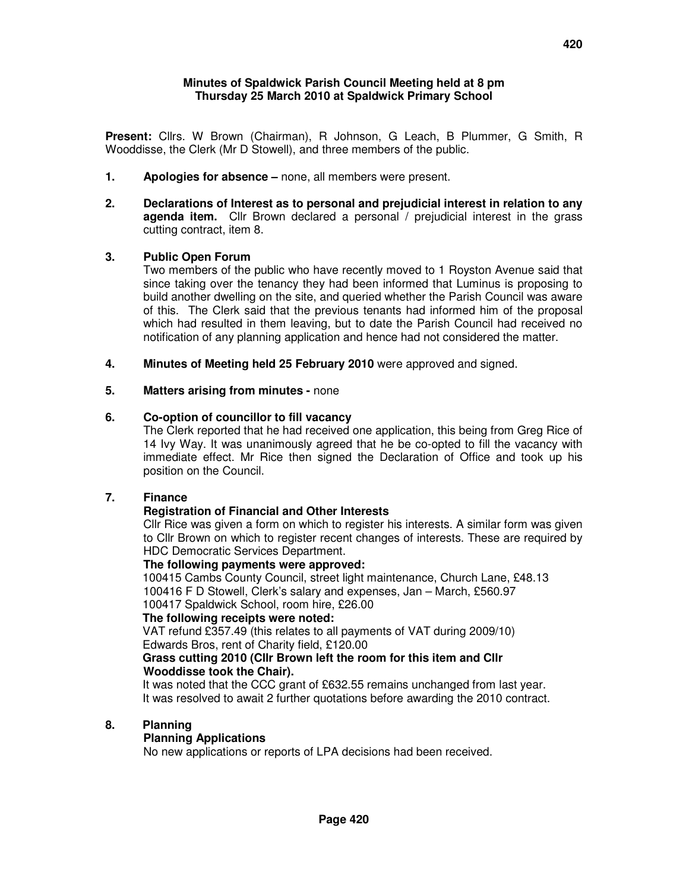#### **Minutes of Spaldwick Parish Council Meeting held at 8 pm Thursday 25 March 2010 at Spaldwick Primary School**

**Present:** Cllrs. W Brown (Chairman), R Johnson, G Leach, B Plummer, G Smith, R Wooddisse, the Clerk (Mr D Stowell), and three members of the public.

- **1. Apologies for absence** none, all members were present.
- **2. Declarations of Interest as to personal and prejudicial interest in relation to any agenda item.** Cllr Brown declared a personal / prejudicial interest in the grass cutting contract, item 8.

### **3. Public Open Forum**

Two members of the public who have recently moved to 1 Royston Avenue said that since taking over the tenancy they had been informed that Luminus is proposing to build another dwelling on the site, and queried whether the Parish Council was aware of this. The Clerk said that the previous tenants had informed him of the proposal which had resulted in them leaving, but to date the Parish Council had received no notification of any planning application and hence had not considered the matter.

**4. Minutes of Meeting held 25 February 2010** were approved and signed.

#### **5. Matters arising from minutes -** none

#### **6. Co-option of councillor to fill vacancy**

The Clerk reported that he had received one application, this being from Greg Rice of 14 Ivy Way. It was unanimously agreed that he be co-opted to fill the vacancy with immediate effect. Mr Rice then signed the Declaration of Office and took up his position on the Council.

### **7. Finance**

### **Registration of Financial and Other Interests**

Cllr Rice was given a form on which to register his interests. A similar form was given to Cllr Brown on which to register recent changes of interests. These are required by HDC Democratic Services Department.

#### **The following payments were approved:**

100415 Cambs County Council, street light maintenance, Church Lane, £48.13 100416 F D Stowell, Clerk's salary and expenses, Jan – March, £560.97 100417 Spaldwick School, room hire, £26.00

#### **The following receipts were noted:**

VAT refund £357.49 (this relates to all payments of VAT during 2009/10) Edwards Bros, rent of Charity field, £120.00

#### **Grass cutting 2010 (Cllr Brown left the room for this item and Cllr Wooddisse took the Chair).**

It was noted that the CCC grant of £632.55 remains unchanged from last year. It was resolved to await 2 further quotations before awarding the 2010 contract.

### **8. Planning**

#### **Planning Applications**

No new applications or reports of LPA decisions had been received.